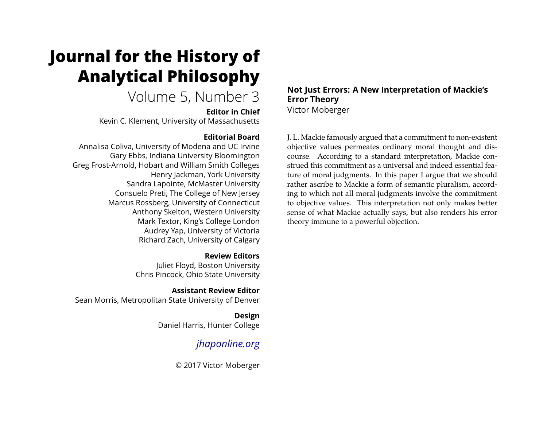# **Journal for the History of Analytical Philosophy**

# Volume 5, Number 3

**Editor in Chief**

Kevin C. Klement, University of Massachusetts

# **Editorial Board**

Annalisa Coliva, University of Modena and UC Irvine Gary Ebbs, Indiana University Bloomington Greg Frost-Arnold, Hobart and William Smith Colleges Henry Jackman, York University Sandra Lapointe, McMaster University Consuelo Preti, The College of New Jersey Marcus Rossberg, University of Connecticut Anthony Skelton, Western University Mark Textor, King's College London Audrey Yap, University of Victoria Richard Zach, University of Calgary

> **Review Editors** Juliet Floyd, Boston University Chris Pincock, Ohio State University

**Assistant Review Editor** Sean Morris, Metropolitan State University of Denver

> **Design** Daniel Harris, Hunter College

# *[jhaponline.org](https://jhaponline.org)*

© 2017 Victor Moberger

## **Not Just Errors: A New Interpretation of Mackie's Error Theory** Victor Moberger

J. L. Mackie famously argued that a commitment to non-existent objective values permeates ordinary moral thought and discourse. According to a standard interpretation, Mackie construed this commitment as a universal and indeed essential feature of moral judgments. In this paper I argue that we should rather ascribe to Mackie a form of semantic pluralism, according to which not all moral judgments involve the commitment to objective values. This interpretation not only makes better sense of what Mackie actually says, but also renders his error theory immune to a powerful objection.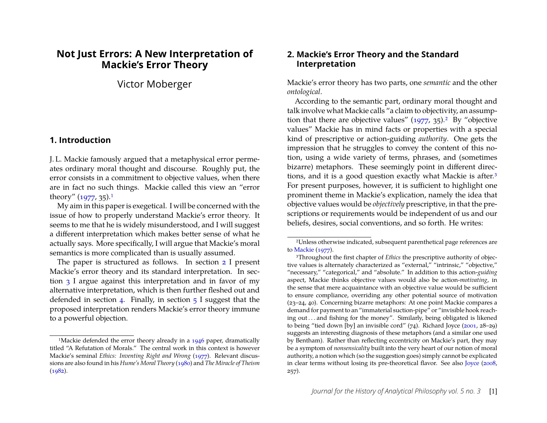# **Not Just Errors: A New Interpretation of Mackie's Error Theory**

Victor Moberger

### **1. Introduction**

J. L. Mackie famously argued that a metaphysical error permeates ordinary moral thought and discourse. Roughly put, the error consists in a commitment to objective values, when there are in fact no such things. Mackie called this view an "error theory"  $(1977, 35)$  $(1977, 35)$  $(1977, 35)$ .<sup>1</sup>

My aim in this paper is exegetical. I will be concerned with the issue of how to properly understand Mackie's error theory. It seems to me that he is widely misunderstood, and I will suggest a different interpretation which makes better sense of what he actually says. More specifically, I will argue that Mackie's moral semantics is more complicated than is usually assumed.

The paper is structured as follows. In section [2](#page-1-1) I present Mackie's error theory and its standard interpretation. In section [3](#page-2-0) I argue against this interpretation and in favor of my alternative interpretation, which is then further fleshed out and defended in section [4.](#page-7-0) Finally, in section  $5$  I suggest that the proposed interpretation renders Mackie's error theory immune to a powerful objection.

#### <span id="page-1-1"></span>**2. Mackie's Error Theory and the Standard Interpretation**

Mackie's error theory has two parts, one *semantic* and the other *ontological*.

According to the semantic part, ordinary moral thought and talk involve what Mackie calls "a claim to objectivity, an assumption that there are objective values"  $(1977, 35)$  $(1977, 35)$ .<sup>[2](#page-1-2)</sup> By "objective values" Mackie has in mind facts or properties with a special kind of prescriptive or action-guiding *authority*. One gets the impression that he struggles to convey the content of this notion, using a wide variety of terms, phrases, and (sometimes bizarre) metaphors. These seemingly point in different directions, and it is a good question exactly what Mackie is after.[3](#page-1-3) For present purposes, however, it is sufficient to highlight one prominent theme in Mackie's explication, namely the idea that objective values would be *objectively* prescriptive, in that the prescriptions or requirements would be independent of us and our beliefs, desires, social conventions, and so forth. He writes:

<span id="page-1-0"></span><sup>&</sup>lt;sup>1</sup>Mackie defended the error theory already in a [1946](#page-12-1) paper, dramatically titled "A Refutation of Morals." The central work in this context is however Mackie's seminal *Ethics: Inventing Right and Wrong* [\(1977\)](#page-12-0). Relevant discussions are also found in his *Hume's Moral Theory* [\(1980\)](#page-12-2) and *The Miracle of Theism* [\(1982\)](#page-12-3).

<span id="page-1-2"></span><sup>2</sup>Unless otherwise indicated, subsequent parenthetical page references are to [Mackie](#page-12-0) [\(1977\)](#page-12-0).

<span id="page-1-3"></span><sup>3</sup>Throughout the first chapter of *Ethics* the prescriptive authority of objective values is alternately characterized as "external," "intrinsic," "objective," "necessary," "categorical," and "absolute." In addition to this action-*guiding* aspect, Mackie thinks objective values would also be action-*motivating*, in the sense that mere acquaintance with an objective value would be sufficient to ensure compliance, overriding any other potential source of motivation (23–24, 40). Concerning bizarre metaphors: At one point Mackie compares a demand for payment to an "immaterial suction-pipe" or "invisible hook reaching out . . . and fishing for the money". Similarly, being obligated is likened to being "tied down [by] an invisible cord" (74). Richard Joyce [\(2001,](#page-12-4) 28–29) suggests an interesting diagnosis of these metaphors (and a similar one used by Bentham). Rather than reflecting eccentricity on Mackie's part, they may be a symptom of *nonsensicality* built into the very heart of our notion of moral authority, a notion which (so the suggestion goes) simply cannot be explicated in clear terms without losing its pre-theoretical flavor. See also [Joyce](#page-12-5) [\(2008,](#page-12-5) 257).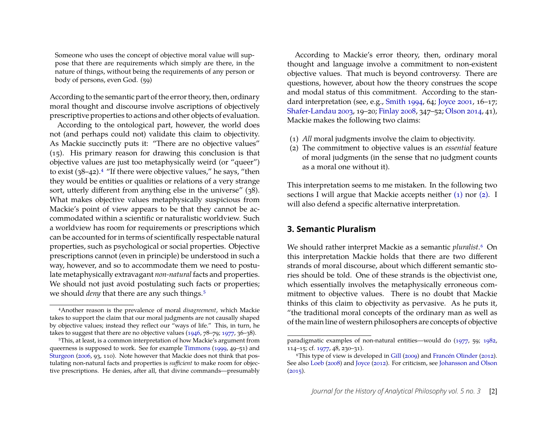Someone who uses the concept of objective moral value will suppose that there are requirements which simply are there, in the nature of things, without being the requirements of any person or body of persons, even God. (59)

According to the semantic part of the error theory, then, ordinary moral thought and discourse involve ascriptions of objectively prescriptive properties to actions and other objects of evaluation.

According to the ontological part, however, the world does not (and perhaps could not) validate this claim to objectivity. As Mackie succinctly puts it: "There are no objective values" (15). His primary reason for drawing this conclusion is that objective values are just too metaphysically weird (or "queer") to exist  $(38-42).4$  $(38-42).4$  $(38-42).4$  "If there were objective values," he says, "then they would be entities or qualities or relations of a very strange sort, utterly different from anything else in the universe" (38). What makes objective values metaphysically suspicious from Mackie's point of view appears to be that they cannot be accommodated within a scientific or naturalistic worldview. Such a worldview has room for requirements or prescriptions which can be accounted for in terms of scientifically respectable natural properties, such as psychological or social properties. Objective prescriptions cannot (even in principle) be understood in such a way, however, and so to accommodate them we need to postulate metaphysically extravagant *non-natural* facts and properties. We should not just avoid postulating such facts or properties; we should *deny* that there are any such things.<sup>[5](#page-2-2)</sup>

According to Mackie's error theory, then, ordinary moral thought and language involve a commitment to non-existent objective values. That much is beyond controversy. There are questions, however, about how the theory construes the scope and modal status of this commitment. According to the standard interpretation (see, e.g., [Smith 1994,](#page-12-8) 64; [Joyce 2001,](#page-12-4) 16–17; [Shafer-Landau 2003,](#page-12-9) 19–20; [Finlay 2008,](#page-11-0) 347–52; [Olson 2014,](#page-12-10) 41), Mackie makes the following two claims:

- <span id="page-2-3"></span>(1) *All* moral judgments involve the claim to objectivity.
- <span id="page-2-4"></span>(2) The commitment to objective values is an *essential* feature of moral judgments (in the sense that no judgment counts as a moral one without it).

This interpretation seems to me mistaken. In the following two sections I will argue that Mackie accepts neither  $(1)$  nor  $(2)$ . I will also defend a specific alternative interpretation.

## <span id="page-2-0"></span>**3. Semantic Pluralism**

We should rather interpret Mackie as a semantic *pluralist*.[6](#page-2-5) On this interpretation Mackie holds that there are two different strands of moral discourse, about which different semantic stories should be told. One of these strands is the objectivist one, which essentially involves the metaphysically erroneous commitment to objective values. There is no doubt that Mackie thinks of this claim to objectivity as pervasive. As he puts it, "the traditional moral concepts of the ordinary man as well as of the main line of western philosophers are concepts of objective

<span id="page-2-1"></span><sup>4</sup>Another reason is the prevalence of moral *disagreement*, which Mackie takes to support the claim that our moral judgments are not causally shaped by objective values; instead they reflect our "ways of life." This, in turn, he takes to suggest that there are no objective values [\(1946,](#page-12-1) 78–79; [1977,](#page-12-0) 36–38).

<span id="page-2-2"></span><sup>5</sup>This, at least, is a common interpretation of how Mackie's argument from queerness is supposed to work. See for example [Timmons](#page-12-6) [\(1999,](#page-12-6) 49–51) and [Sturgeon](#page-12-7) [\(2006,](#page-12-7) 93, 110). Note however that Mackie does not think that postulating non-natural facts and properties is *sufficient* to make room for objective prescriptions. He denies, after all, that divine commands—presumably

paradigmatic examples of non-natural entities—would do [\(1977,](#page-12-0) 59; [1982,](#page-12-3) 114–15; cf. [1977,](#page-12-0) 48, 230–31).

<span id="page-2-5"></span><sup>6</sup>This type of view is developed in [Gill](#page-11-1) [\(2009\)](#page-11-1) and [Francén Olinder](#page-11-2) [\(2012\)](#page-11-2). See also [Loeb](#page-12-11) [\(2008\)](#page-12-11) and [Joyce](#page-12-12) [\(2012\)](#page-12-12). For criticism, see [Johansson and Olson](#page-12-13)  $(2015).$  $(2015).$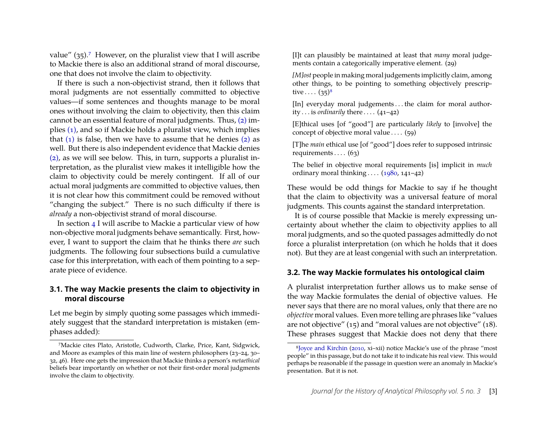value"  $(35)$ .<sup>[7](#page-3-0)</sup> However, on the pluralist view that I will ascribe to Mackie there is also an additional strand of moral discourse, one that does not involve the claim to objectivity.

If there is such a non-objectivist strand, then it follows that moral judgments are not essentially committed to objective values—if some sentences and thoughts manage to be moral ones without involving the claim to objectivity, then this claim cannot be an essential feature of moral judgments. Thus, [\(2\)](#page-2-4) implies [\(1\),](#page-2-3) and so if Mackie holds a pluralist view, which implies that  $(1)$  is false, then we have to assume that he denies  $(2)$  as well. But there is also independent evidence that Mackie denies [\(2\),](#page-2-4) as we will see below. This, in turn, supports a pluralist interpretation, as the pluralist view makes it intelligible how the claim to objectivity could be merely contingent. If all of our actual moral judgments are committed to objective values, then it is not clear how this commitment could be removed without "changing the subject." There is no such difficulty if there is *already* a non-objectivist strand of moral discourse.

In section [4](#page-7-0) I will ascribe to Mackie a particular view of how non-objective moral judgments behave semantically. First, however, I want to support the claim that he thinks there *are* such judgments. The following four subsections build a cumulative case for this interpretation, with each of them pointing to a separate piece of evidence.

#### **3.1. The way Mackie presents the claim to objectivity in moral discourse**

Let me begin by simply quoting some passages which immediately suggest that the standard interpretation is mistaken (emphases added):

[I]t can plausibly be maintained at least that *many* moral judgements contain a categorically imperative element. (29)

*[M]ost* people in making moral judgements implicitly claim, among other things, to be pointing to something objectively prescriptive  $\ldots$   $(35)^8$  $(35)^8$ 

[In] everyday moral judgements...the claim for moral authority  $\dots$  is *ordinarily* there  $\dots$  (41–42)

[E]thical uses [of "good"] are particularly *likely* to [involve] the concept of objective moral value  $\dots$  (59)

[T]he *main* ethical use [of "good"] does refer to supposed intrinsic requirements  $\ldots$  (63)

The belief in objective moral requirements [is] implicit in *much* ordinary moral thinking  $\ldots$  [\(1980,](#page-12-2) 141–42)

These would be odd things for Mackie to say if he thought that the claim to objectivity was a universal feature of moral judgments. This counts against the standard interpretation.

It is of course possible that Mackie is merely expressing uncertainty about whether the claim to objectivity applies to all moral judgments, and so the quoted passages admittedly do not force a pluralist interpretation (on which he holds that it does not). But they are at least congenial with such an interpretation.

#### **3.2. The way Mackie formulates his ontological claim**

A pluralist interpretation further allows us to make sense of the way Mackie formulates the denial of objective values. He never says that there are no moral values, only that there are no *objective* moral values. Even more telling are phrases like "values are not objective" (15) and "moral values are not objective" (18). These phrases suggest that Mackie does not deny that there

<span id="page-3-0"></span><sup>7</sup>Mackie cites Plato, Aristotle, Cudworth, Clarke, Price, Kant, Sidgwick, and Moore as examples of this main line of western philosophers (23–24, 30– 32, 46). Here one gets the impression that Mackie thinks a person's *metaethical* beliefs bear importantly on whether or not their first-order moral judgments involve the claim to objectivity.

<span id="page-3-1"></span><sup>8</sup>[Joyce and Kirchin](#page-12-14) [\(2010,](#page-12-14) xi–xii) notice Mackie's use of the phrase "most people" in this passage, but do not take it to indicate his real view. This would perhaps be reasonable if the passage in question were an anomaly in Mackie's presentation. But it is not.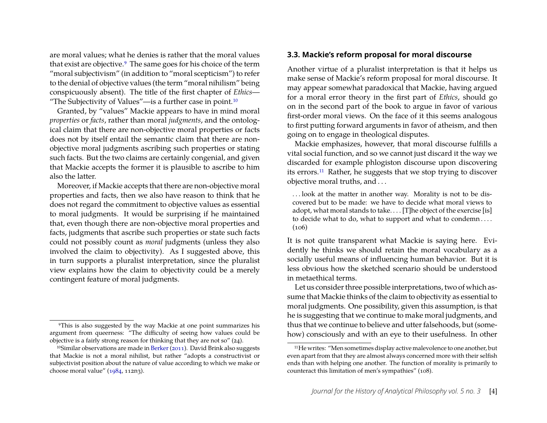are moral values; what he denies is rather that the moral values that exist are objective.[9](#page-4-0) The same goes for his choice of the term "moral subjectivism" (in addition to "moral scepticism") to refer to the denial of objective values (the term "moral nihilism" being conspicuously absent). The title of the first chapter of *Ethics*— "The Subjectivity of Values"—is a further case in point. $10$ 

Granted, by "values" Mackie appears to have in mind moral *properties* or *facts*, rather than moral *judgments*, and the ontological claim that there are non-objective moral properties or facts does not by itself entail the semantic claim that there are nonobjective moral judgments ascribing such properties or stating such facts. But the two claims are certainly congenial, and given that Mackie accepts the former it is plausible to ascribe to him also the latter.

Moreover, if Mackie accepts that there are non-objective moral properties and facts, then we also have reason to think that he does not regard the commitment to objective values as essential to moral judgments. It would be surprising if he maintained that, even though there are non-objective moral properties and facts, judgments that ascribe such properties or state such facts could not possibly count as *moral* judgments (unless they also involved the claim to objectivity). As I suggested above, this in turn supports a pluralist interpretation, since the pluralist view explains how the claim to objectivity could be a merely contingent feature of moral judgments.

#### **3.3. Mackie's reform proposal for moral discourse**

Another virtue of a pluralist interpretation is that it helps us make sense of Mackie's reform proposal for moral discourse. It may appear somewhat paradoxical that Mackie, having argued for a moral error theory in the first part of *Ethics*, should go on in the second part of the book to argue in favor of various first-order moral views. On the face of it this seems analogous to first putting forward arguments in favor of atheism, and then going on to engage in theological disputes.

Mackie emphasizes, however, that moral discourse fulfills a vital social function, and so we cannot just discard it the way we discarded for example phlogiston discourse upon discovering its errors.[11](#page-4-2) Rather, he suggests that we stop trying to discover objective moral truths, and . . .

. . . look at the matter in another way. Morality is not to be discovered but to be made: we have to decide what moral views to adopt, what moral stands to take.... [T]he object of the exercise [is] to decide what to do, what to support and what to condemn . . . .  $(106)$ 

It is not quite transparent what Mackie is saying here. Evidently he thinks we should retain the moral vocabulary as a socially useful means of influencing human behavior. But it is less obvious how the sketched scenario should be understood in metaethical terms.

Let us consider three possible interpretations, two of which assume that Mackie thinks of the claim to objectivity as essential to moral judgments. One possibility, given this assumption, is that he is suggesting that we continue to make moral judgments, and thus that we continue to believe and utter falsehoods, but (somehow) consciously and with an eye to their usefulness. In other

<span id="page-4-0"></span><sup>9</sup>This is also suggested by the way Mackie at one point summarizes his argument from queerness: "The difficulty of seeing how values could be objective is a fairly strong reason for thinking that they are not so" (24).

<span id="page-4-1"></span> $10$ Similar observations are made in [Berker](#page-11-3) [\(2011\)](#page-11-3). David Brink also suggests that Mackie is not a moral nihilist, but rather "adopts a constructivist or subjectivist position about the nature of value according to which we make or choose moral value" [\(1984,](#page-11-4) 112n3).

<span id="page-4-2"></span><sup>11</sup>He writes: "Men sometimes display active malevolence to one another, but even apart from that they are almost always concerned more with their selfish ends than with helping one another. The function of morality is primarily to counteract this limitation of men's sympathies" (108).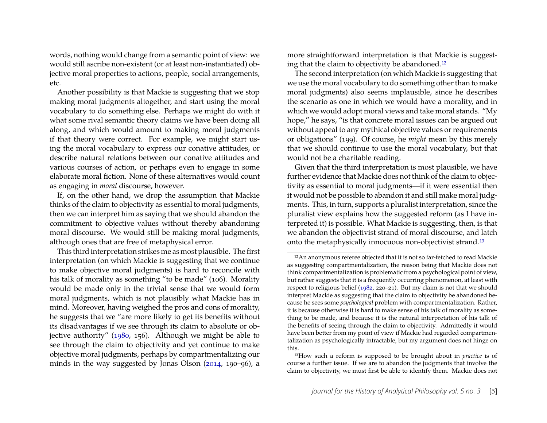words, nothing would change from a semantic point of view: we would still ascribe non-existent (or at least non-instantiated) objective moral properties to actions, people, social arrangements, etc.

Another possibility is that Mackie is suggesting that we stop making moral judgments altogether, and start using the moral vocabulary to do something else. Perhaps we might do with it what some rival semantic theory claims we have been doing all along, and which would amount to making moral judgments if that theory were correct. For example, we might start using the moral vocabulary to express our conative attitudes, or describe natural relations between our conative attitudes and various courses of action, or perhaps even to engage in some elaborate moral fiction. None of these alternatives would count as engaging in *moral* discourse, however.

If, on the other hand, we drop the assumption that Mackie thinks of the claim to objectivity as essential to moral judgments, then we can interpret him as saying that we should abandon the commitment to objective values without thereby abandoning moral discourse. We would still be making moral judgments, although ones that are free of metaphysical error.

This third interpretation strikes me as most plausible. The first interpretation (on which Mackie is suggesting that we continue to make objective moral judgments) is hard to reconcile with his talk of morality as something "to be made" (106). Morality would be made only in the trivial sense that we would form moral judgments, which is not plausibly what Mackie has in mind. Moreover, having weighed the pros and cons of morality, he suggests that we "are more likely to get its benefits without its disadvantages if we see through its claim to absolute or objective authority" [\(1980,](#page-12-2) 156). Although we might be able to see through the claim to objectivity and yet continue to make objective moral judgments, perhaps by compartmentalizing our minds in the way suggested by Jonas Olson [\(2014,](#page-12-10) 190–96), a

more straightforward interpretation is that Mackie is suggesting that the claim to objectivity be abandoned.[12](#page-5-0)

The second interpretation (on which Mackie is suggesting that we use the moral vocabulary to do something other than to make moral judgments) also seems implausible, since he describes the scenario as one in which we would have a morality, and in which we would adopt moral views and take moral stands. "My hope," he says, "is that concrete moral issues can be argued out without appeal to any mythical objective values or requirements or obligations" (199). Of course, he *might* mean by this merely that we should continue to use the moral vocabulary, but that would not be a charitable reading.

Given that the third interpretation is most plausible, we have further evidence that Mackie does not think of the claim to objectivity as essential to moral judgments—if it were essential then it would not be possible to abandon it and still make moral judgments. This, in turn, supports a pluralist interpretation, since the pluralist view explains how the suggested reform (as I have interpreted it) is possible. What Mackie is suggesting, then, is that we abandon the objectivist strand of moral discourse, and latch onto the metaphysically innocuous non-objectivist strand.[13](#page-5-1)

<span id="page-5-0"></span><sup>12</sup>An anonymous referee objected that it is not so far-fetched to read Mackie as suggesting compartmentalization, the reason being that Mackie does not think compartmentalization is problematic from a psychological point of view, but rather suggests that it is a frequently occurring phenomenon, at least with respect to religious belief [\(1982,](#page-12-3) 220–21). But my claim is not that we should interpret Mackie as suggesting that the claim to objectivity be abandoned because he sees some *psychological* problem with compartmentalization. Rather, it is because otherwise it is hard to make sense of his talk of morality as something to be made, and because it is the natural interpretation of his talk of the benefits of seeing through the claim to objectivity. Admittedly it would have been better from my point of view if Mackie had regarded compartmentalization as psychologically intractable, but my argument does not hinge on this.

<span id="page-5-1"></span><sup>13</sup>How such a reform is supposed to be brought about in *practice* is of course a further issue. If we are to abandon the judgments that involve the claim to objectivity, we must first be able to identify them. Mackie does not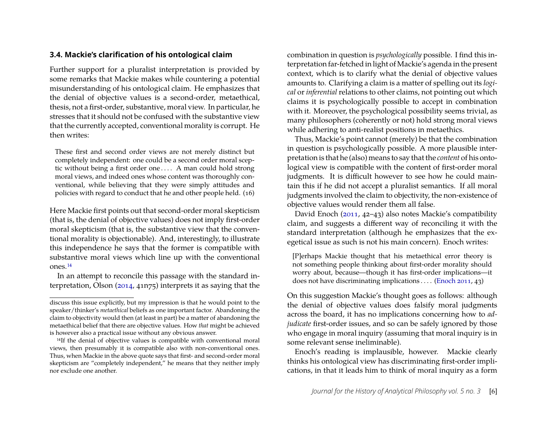#### **3.4. Mackie's clarification of his ontological claim**

Further support for a pluralist interpretation is provided by some remarks that Mackie makes while countering a potential misunderstanding of his ontological claim. He emphasizes that the denial of objective values is a second-order, metaethical, thesis, not a first-order, substantive, moral view. In particular, he stresses that it should not be confused with the substantive view that the currently accepted, conventional morality is corrupt. He then writes:

These first and second order views are not merely distinct but completely independent: one could be a second order moral sceptic without being a first order one . . . . A man could hold strong moral views, and indeed ones whose content was thoroughly conventional, while believing that they were simply attitudes and policies with regard to conduct that he and other people held. (16)

Here Mackie first points out that second-order moral skepticism (that is, the denial of objective values) does not imply first-order moral skepticism (that is, the substantive view that the conventional morality is objectionable). And, interestingly, to illustrate this independence he says that the former is compatible with substantive moral views which line up with the conventional ones.[14](#page-6-0)

In an attempt to reconcile this passage with the standard interpretation, Olson [\(2014,](#page-12-10) 41n75) interprets it as saying that the combination in question is *psychologically* possible. I find this interpretation far-fetched in light of Mackie's agenda in the present context, which is to clarify what the denial of objective values amounts to. Clarifying a claim is a matter of spelling out its *logical* or *inferential* relations to other claims, not pointing out which claims it is psychologically possible to accept in combination with it. Moreover, the psychological possibility seems trivial, as many philosophers (coherently or not) hold strong moral views while adhering to anti-realist positions in metaethics.

Thus, Mackie's point cannot (merely) be that the combination in question is psychologically possible. A more plausible interpretation is that he (also) means to say that the *content* of his ontological view is compatible with the content of first-order moral judgments. It is difficult however to see how he could maintain this if he did not accept a pluralist semantics. If all moral judgments involved the claim to objectivity, the non-existence of objective values would render them all false.

David Enoch [\(2011,](#page-11-5) 42–43) also notes Mackie's compatibility claim, and suggests a different way of reconciling it with the standard interpretation (although he emphasizes that the exegetical issue as such is not his main concern). Enoch writes:

[P]erhaps Mackie thought that his metaethical error theory is not something people thinking about first-order morality should worry about, because—though it has first-order implications—it does not have discriminating implications . . . . [\(Enoch 2011,](#page-11-5) 43)

On this suggestion Mackie's thought goes as follows: although the denial of objective values does falsify moral judgments across the board, it has no implications concerning how to *adjudicate* first-order issues, and so can be safely ignored by those who engage in moral inquiry (assuming that moral inquiry is in some relevant sense ineliminable).

Enoch's reading is implausible, however. Mackie clearly thinks his ontological view has discriminating first-order implications, in that it leads him to think of moral inquiry as a form

discuss this issue explicitly, but my impression is that he would point to the speaker/thinker's *metaethical* beliefs as one important factor. Abandoning the claim to objectivity would then (at least in part) be a matter of abandoning the metaethical belief that there are objective values. How *that* might be achieved is however also a practical issue without any obvious answer.

<span id="page-6-0"></span><sup>&</sup>lt;sup>14</sup>If the denial of objective values is compatible with conventional moral views, then presumably it is compatible also with non-conventional ones. Thus, when Mackie in the above quote says that first- and second-order moral skepticism are "completely independent," he means that they neither imply nor exclude one another.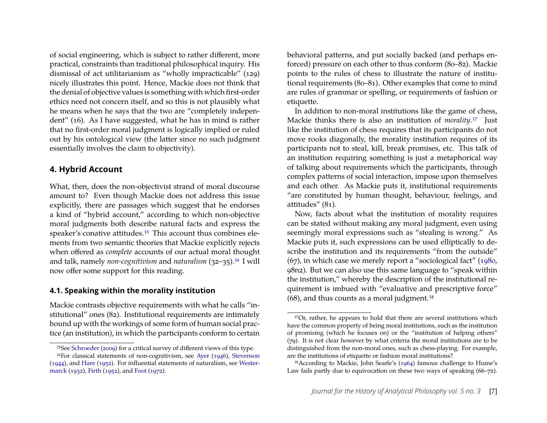of social engineering, which is subject to rather different, more practical, constraints than traditional philosophical inquiry. His dismissal of act utilitarianism as "wholly impracticable" (129) nicely illustrates this point. Hence, Mackie does not think that the denial of objective values is something with which first-order ethics need not concern itself, and so this is not plausibly what he means when he says that the two are "completely independent" (16). As I have suggested, what he has in mind is rather that no first-order moral judgment is logically implied or ruled out by his ontological view (the latter since no such judgment essentially involves the claim to objectivity).

#### <span id="page-7-0"></span>**4. Hybrid Account**

What, then, does the non-objectivist strand of moral discourse amount to? Even though Mackie does not address this issue explicitly, there are passages which suggest that he endorses a kind of "hybrid account," according to which non-objective moral judgments both describe natural facts and express the speaker's conative attitudes.[15](#page-7-1) This account thus combines elements from two semantic theories that Mackie explicitly rejects when offered as *complete* accounts of our actual moral thought and talk, namely *non-cognitivism* and *naturalism* (32–35).[16](#page-7-2) I will now offer some support for this reading.

#### **4.1. Speaking within the morality institution**

Mackie contrasts objective requirements with what he calls "institutional" ones (82). Institutional requirements are intimately bound up with the workings of some form of human social practice (an institution), in which the participants conform to certain behavioral patterns, and put socially backed (and perhaps enforced) pressure on each other to thus conform (80–82). Mackie points to the rules of chess to illustrate the nature of institutional requirements (80–81). Other examples that come to mind are rules of grammar or spelling, or requirements of fashion or etiquette.

In addition to non-moral institutions like the game of chess, Mackie thinks there is also an institution of *morality*.[17](#page-7-3) Just like the institution of chess requires that its participants do not move rooks diagonally, the morality institution requires of its participants not to steal, kill, break promises, etc. This talk of an institution requiring something is just a metaphorical way of talking about requirements which the participants, through complex patterns of social interaction, impose upon themselves and each other. As Mackie puts it, institutional requirements "are constituted by human thought, behaviour, feelings, and attitudes" (81).

Now, facts about what the institution of morality requires can be stated without making any moral judgment, even using seemingly moral expressions such as "stealing is wrong." As Mackie puts it, such expressions can be used elliptically to describe the institution and its requirements "from the outside" (67), in which case we merely report a "sociological fact" [\(1980,](#page-12-2) 98n2). But we can also use this same language to "speak within the institution," whereby the description of the institutional requirement is imbued with "evaluative and prescriptive force"  $(68)$ , and thus counts as a moral judgment.<sup>[18](#page-7-4)</sup>

<span id="page-7-2"></span><span id="page-7-1"></span><sup>15</sup>See [Schroeder](#page-12-15) [\(2009\)](#page-12-15) for a critical survey of different views of this type. 16For classical statements of non-cognitivism, see [Ayer](#page-11-6) [\(1946\)](#page-11-6), [Stevenson](#page-12-16) [\(1944\)](#page-12-16), and [Hare](#page-11-7) [\(1952\)](#page-11-7). For influential statements of naturalism, see [Wester](#page-12-17)[marck](#page-12-17) [\(1932\)](#page-12-17), [Firth](#page-11-8) [\(1952\)](#page-11-8), and [Foot](#page-11-9) [\(1972\)](#page-11-9).

<span id="page-7-3"></span><sup>&</sup>lt;sup>17</sup>Or, rather, he appears to hold that there are several institutions which have the common property of being moral institutions, such as the institution of promising (which he focuses on) or the "institution of helping others" (79). It is not clear however by what criteria the moral institutions are to be distinguished from the non-moral ones, such as chess-playing. For example, are the institutions of etiquette or fashion moral institutions?

<span id="page-7-4"></span><sup>18</sup>According to Mackie, John Searle's [\(1964\)](#page-12-18) famous challenge to Hume's Law fails partly due to equivocation on these two ways of speaking (66–72).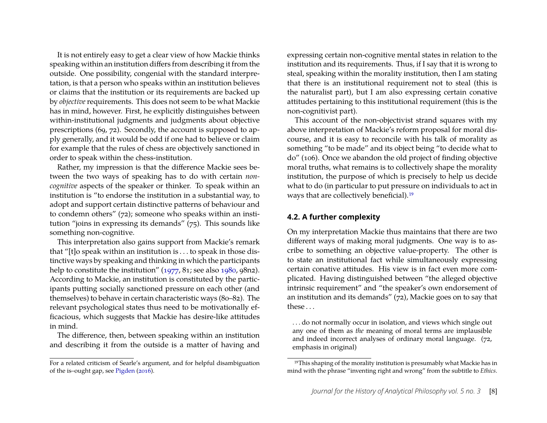It is not entirely easy to get a clear view of how Mackie thinks speaking within an institution differs from describing it from the outside. One possibility, congenial with the standard interpretation, is that a person who speaks within an institution believes or claims that the institution or its requirements are backed up by *objective* requirements. This does not seem to be what Mackie has in mind, however. First, he explicitly distinguishes between within-institutional judgments and judgments about objective prescriptions (69, 72). Secondly, the account is supposed to apply generally, and it would be odd if one had to believe or claim for example that the rules of chess are objectively sanctioned in order to speak within the chess-institution.

Rather, my impression is that the difference Mackie sees between the two ways of speaking has to do with certain *noncognitive* aspects of the speaker or thinker. To speak within an institution is "to endorse the institution in a substantial way, to adopt and support certain distinctive patterns of behaviour and to condemn others" (72); someone who speaks within an institution "joins in expressing its demands" (75). This sounds like something non-cognitive.

This interpretation also gains support from Mackie's remark that "[t]o speak within an institution is . . . to speak in those distinctive ways by speaking and thinking in which the participants help to constitute the institution" [\(1977,](#page-12-0) 81; see also [1980,](#page-12-2) 98n2). According to Mackie, an institution is constituted by the participants putting socially sanctioned pressure on each other (and themselves) to behave in certain characteristic ways (80–82). The relevant psychological states thus need to be motivationally efficacious, which suggests that Mackie has desire-like attitudes in mind.

The difference, then, between speaking within an institution and describing it from the outside is a matter of having and

expressing certain non-cognitive mental states in relation to the institution and its requirements. Thus, if I say that it is wrong to steal, speaking within the morality institution, then I am stating that there is an institutional requirement not to steal (this is the naturalist part), but I am also expressing certain conative attitudes pertaining to this institutional requirement (this is the non-cognitivist part).

This account of the non-objectivist strand squares with my above interpretation of Mackie's reform proposal for moral discourse, and it is easy to reconcile with his talk of morality as something "to be made" and its object being "to decide what to do" (106). Once we abandon the old project of finding objective moral truths, what remains is to collectively shape the morality institution, the purpose of which is precisely to help us decide what to do (in particular to put pressure on individuals to act in ways that are collectively beneficial).[19](#page-8-0)

#### **4.2. A further complexity**

On my interpretation Mackie thus maintains that there are two different ways of making moral judgments. One way is to ascribe to something an objective value-property. The other is to state an institutional fact while simultaneously expressing certain conative attitudes. His view is in fact even more complicated. Having distinguished between "the alleged objective intrinsic requirement" and "the speaker's own endorsement of an institution and its demands" (72), Mackie goes on to say that these . . .

. . . do not normally occur in isolation, and views which single out any one of them as *the* meaning of moral terms are implausible and indeed incorrect analyses of ordinary moral language. (72, emphasis in original)

For a related criticism of Searle's argument, and for helpful disambiguation of the is–ought gap, see [Pigden](#page-12-19) [\(2016\)](#page-12-19).

<span id="page-8-0"></span><sup>19</sup>This shaping of the morality institution is presumably what Mackie has in mind with the phrase "inventing right and wrong" from the subtitle to *Ethics*.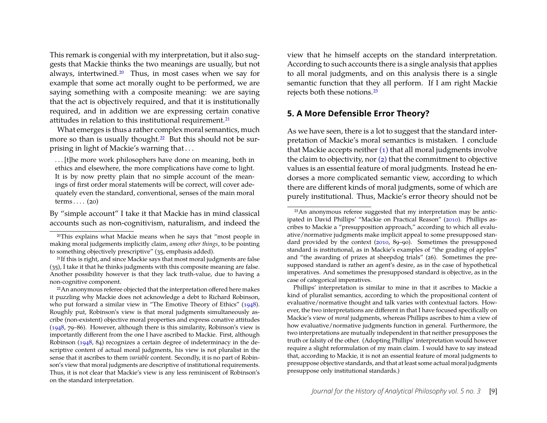This remark is congenial with my interpretation, but it also suggests that Mackie thinks the two meanings are usually, but not always, intertwined.[20](#page-9-1) Thus, in most cases when we say for example that some act morally ought to be performed, we are saying something with a composite meaning: we are saying that the act is objectively required, and that it is institutionally required, and in addition we are expressing certain conative attitudes in relation to this institutional requirement.[21](#page-9-2)

What emerges is thus a rather complex moral semantics, much more so than is usually thought.<sup>[22](#page-9-3)</sup> But this should not be surprising in light of Mackie's warning that . . .

. . . [t]he more work philosophers have done on meaning, both in ethics and elsewhere, the more complications have come to light. It is by now pretty plain that no simple account of the meanings of first order moral statements will be correct, will cover adequately even the standard, conventional, senses of the main moral terms  $\dots$  (20)

By "simple account" I take it that Mackie has in mind classical accounts such as non-cognitivism, naturalism, and indeed the view that he himself accepts on the standard interpretation. According to such accounts there is a single analysis that applies to all moral judgments, and on this analysis there is a single semantic function that they all perform. If I am right Mackie rejects both these notions.[23](#page-9-4)

#### <span id="page-9-0"></span>**5. A More Defensible Error Theory?**

As we have seen, there is a lot to suggest that the standard interpretation of Mackie's moral semantics is mistaken. I conclude that Mackie accepts neither  $(1)$  that all moral judgments involve the claim to objectivity, nor [\(2\)](#page-2-4) that the commitment to objective values is an essential feature of moral judgments. Instead he endorses a more complicated semantic view, according to which there are different kinds of moral judgments, some of which are purely institutional. Thus, Mackie's error theory should not be

<span id="page-9-1"></span><sup>20</sup>This explains what Mackie means when he says that "most people in making moral judgements implicitly claim, *among other things*, to be pointing to something objectively prescriptive" (35, emphasis added).

<span id="page-9-2"></span><sup>&</sup>lt;sup>21</sup>If this is right, and since Mackie says that most moral judgments are false (35), I take it that he thinks judgments with this composite meaning are false. Another possibility however is that they lack truth-value, due to having a non-cognitive component.

<span id="page-9-3"></span><sup>22</sup>An anonymous referee objected that the interpretation offered here makes it puzzling why Mackie does not acknowledge a debt to Richard Robinson, who put forward a similar view in "The Emotive Theory of Ethics" [\(1948\)](#page-12-20). Roughly put, Robinson's view is that moral judgments simultaneously ascribe (non-existent) objective moral properties and express conative attitudes [\(1948,](#page-12-20) 79–86). However, although there is this similarity, Robinson's view is importantly different from the one I have ascribed to Mackie. First, although Robinson [\(1948,](#page-12-20) 84) recognizes a certain degree of indeterminacy in the descriptive content of actual moral judgments, his view is not pluralist in the sense that it ascribes to them *variable* content. Secondly, it is no part of Robinson's view that moral judgments are descriptive of institutional requirements. Thus, it is not clear that Mackie's view is any less reminiscent of Robinson's on the standard interpretation.

<span id="page-9-4"></span><sup>23</sup>An anonymous referee suggested that my interpretation may be anticipated in David Phillips' "Mackie on Practical Reason" [\(2010\)](#page-12-21). Phillips ascribes to Mackie a "presupposition approach," according to which all evaluative/normative judgments make implicit appeal to some presupposed standard provided by the context [\(2010,](#page-12-21) 89–90). Sometimes the presupposed standard is institutional, as in Mackie's examples of "the grading of apples" and "the awarding of prizes at sheepdog trials" (26). Sometimes the presupposed standard is rather an agent's desire, as in the case of hypothetical imperatives. And sometimes the presupposed standard is objective, as in the case of categorical imperatives.

Phillips' interpretation is similar to mine in that it ascribes to Mackie a kind of pluralist semantics, according to which the propositional content of evaluative/normative thought and talk varies with contextual factors. However, the two interpretations are different in that I have focused specifically on Mackie's view of *moral* judgments, whereas Phillips ascribes to him a view of how evaluative/normative judgments function in general. Furthermore, the two interpretations are mutually independent in that neither presupposes the truth or falsity of the other. (Adopting Phillips' interpretation would however require a slight reformulation of my main claim. I would have to say instead that, according to Mackie, it is not an essential feature of moral judgments to presuppose objective standards, and that at least some actual moral judgments presuppose only institutional standards.)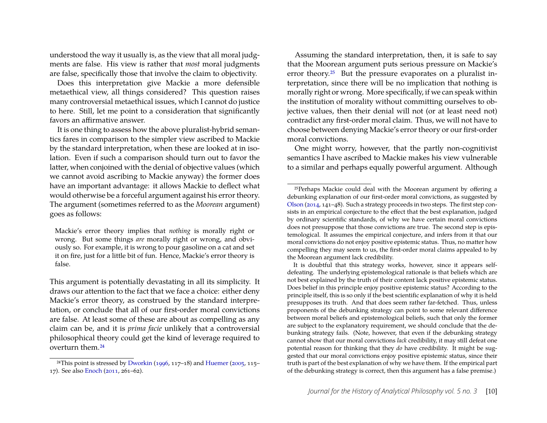understood the way it usually is, as the view that all moral judgments are false. His view is rather that *most* moral judgments are false, specifically those that involve the claim to objectivity.

Does this interpretation give Mackie a more defensible metaethical view, all things considered? This question raises many controversial metaethical issues, which I cannot do justice to here. Still, let me point to a consideration that significantly favors an affirmative answer.

It is one thing to assess how the above pluralist-hybrid semantics fares in comparison to the simpler view ascribed to Mackie by the standard interpretation, when these are looked at in isolation. Even if such a comparison should turn out to favor the latter, when conjoined with the denial of objective values (which we cannot avoid ascribing to Mackie anyway) the former does have an important advantage: it allows Mackie to deflect what would otherwise be a forceful argument against his error theory. The argument (sometimes referred to as the *Moorean* argument) goes as follows:

Mackie's error theory implies that *nothing* is morally right or wrong. But some things *are* morally right or wrong, and obviously so. For example, it is wrong to pour gasoline on a cat and set it on fire, just for a little bit of fun. Hence, Mackie's error theory is false.

This argument is potentially devastating in all its simplicity. It draws our attention to the fact that we face a choice: either deny Mackie's error theory, as construed by the standard interpretation, or conclude that all of our first-order moral convictions are false. At least some of these are about as compelling as any claim can be, and it is *prima facie* unlikely that a controversial philosophical theory could get the kind of leverage required to overturn them.[24](#page-10-0)

Assuming the standard interpretation, then, it is safe to say that the Moorean argument puts serious pressure on Mackie's error theory. $25$  But the pressure evaporates on a pluralist interpretation, since there will be no implication that nothing is morally right or wrong. More specifically, if we can speak within the institution of morality without committing ourselves to objective values, then their denial will not (or at least need not) contradict any first-order moral claim. Thus, we will not have to choose between denying Mackie's error theory or our first-order moral convictions.

One might worry, however, that the partly non-cognitivist semantics I have ascribed to Mackie makes his view vulnerable to a similar and perhaps equally powerful argument. Although

<span id="page-10-0"></span><sup>&</sup>lt;sup>24</sup>This point is stressed by [Dworkin](#page-11-10) [\(1996,](#page-11-10) 117–18) and [Huemer](#page-12-22) [\(2005,](#page-12-22) 115– 17). See also [Enoch](#page-11-5) [\(2011,](#page-11-5) 261–62).

<span id="page-10-1"></span><sup>25</sup>Perhaps Mackie could deal with the Moorean argument by offering a debunking explanation of our first-order moral convictions, as suggested by [Olson](#page-12-10) [\(2014,](#page-12-10) 141–48). Such a strategy proceeds in two steps. The first step consists in an empirical conjecture to the effect that the best explanation, judged by ordinary scientific standards, of why we have certain moral convictions does not presuppose that those convictions are true. The second step is epistemological. It assumes the empirical conjecture, and infers from it that our moral convictions do not enjoy positive epistemic status. Thus, no matter how compelling they may seem to us, the first-order moral claims appealed to by the Moorean argument lack credibility.

It is doubtful that this strategy works, however, since it appears selfdefeating. The underlying epistemological rationale is that beliefs which are not best explained by the truth of their content lack positive epistemic status. Does belief in this principle enjoy positive epistemic status? According to the principle itself, this is so only if the best scientific explanation of why it is held presupposes its truth. And that does seem rather far-fetched. Thus, unless proponents of the debunking strategy can point to some relevant difference between moral beliefs and epistemological beliefs, such that only the former are subject to the explanatory requirement, we should conclude that the debunking strategy fails. (Note, however, that even if the debunking strategy cannot show that our moral convictions *lack* credibility, it may still defeat one potential reason for thinking that they *do* have credibility. It might be suggested that our moral convictions enjoy positive epistemic status, since their truth is part of the best explanation of why we have them. If the empirical part of the debunking strategy is correct, then this argument has a false premise.)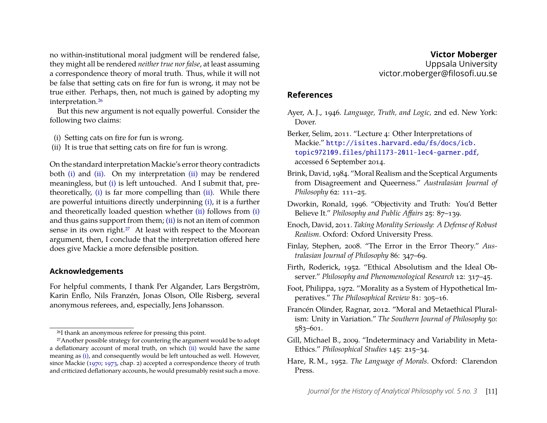no within-institutional moral judgment will be rendered false, they might all be rendered *neither true nor false*, at least assuming a correspondence theory of moral truth. Thus, while it will not be false that setting cats on fire for fun is wrong, it may not be true either. Perhaps, then, not much is gained by adopting my interpretation.[26](#page-11-11)

But this new argument is not equally powerful. Consider the following two claims:

- <span id="page-11-12"></span>(i) Setting cats on fire for fun is wrong.
- <span id="page-11-13"></span>(ii) It is true that setting cats on fire for fun is wrong.

On the standard interpretation Mackie's error theory contradicts both [\(i\)](#page-11-12) and [\(ii\).](#page-11-13) On my interpretation [\(ii\)](#page-11-13) may be rendered meaningless, but [\(i\)](#page-11-12) is left untouched. And I submit that, pretheoretically, [\(i\)](#page-11-12) is far more compelling than [\(ii\).](#page-11-13) While there are powerful intuitions directly underpinning [\(i\),](#page-11-12) it is a further and theoretically loaded question whether [\(ii\)](#page-11-13) follows from [\(i\)](#page-11-12) and thus gains support from them; [\(ii\)](#page-11-13) is not an item of common sense in its own right.<sup>[27](#page-11-14)</sup> At least with respect to the Moorean argument, then, I conclude that the interpretation offered here does give Mackie a more defensible position.

#### **Acknowledgements**

For helpful comments, I thank Per Algander, Lars Bergström, Karin Enflo, Nils Franzén, Jonas Olson, Olle Risberg, several anonymous referees, and, especially, Jens Johansson.

#### **References**

<span id="page-11-6"></span>Ayer, A. J., 1946. *Language, Truth, and Logic,* 2nd ed. New York: Dover.

<span id="page-11-3"></span>Berker, Selim, 2011. "Lecture 4: Other Interpretations of Mackie." [http://isites.harvard.edu/fs/docs/icb.](http://isites.harvard.edu/fs/docs/icb.topic972109.files/phil173-2011-lec4-garner.pdf) [topic972109.files/phil173-2011-lec4-garner.pdf](http://isites.harvard.edu/fs/docs/icb.topic972109.files/phil173-2011-lec4-garner.pdf), accessed 6 September 2014.

- <span id="page-11-4"></span>Brink, David, 1984. "Moral Realism and the Sceptical Arguments from Disagreement and Queerness." *Australasian Journal of Philosophy* 62: 111–25.
- <span id="page-11-10"></span>Dworkin, Ronald, 1996. "Objectivity and Truth: You'd Better Believe It." *Philosophy and Public Affairs* 25: 87–139.
- <span id="page-11-5"></span>Enoch, David, 2011. *Taking Morality Seriously: A Defense of Robust Realism*. Oxford: Oxford University Press.
- <span id="page-11-0"></span>Finlay, Stephen, 2008. "The Error in the Error Theory." *Australasian Journal of Philosophy* 86: 347–69.
- <span id="page-11-8"></span>Firth, Roderick, 1952. "Ethical Absolutism and the Ideal Observer." *Philosophy and Phenomenological Research* 12: 317–45.
- <span id="page-11-9"></span>Foot, Philippa, 1972. "Morality as a System of Hypothetical Imperatives." *The Philosophical Review* 81: 305–16.
- <span id="page-11-2"></span>Francén Olinder, Ragnar, 2012. "Moral and Metaethical Pluralism: Unity in Variation." *The Southern Journal of Philosophy* 50: 583–601.
- <span id="page-11-1"></span>Gill, Michael B., 2009. "Indeterminacy and Variability in Meta-Ethics." *Philosophical Studies* 145: 215–34.
- <span id="page-11-7"></span>Hare, R. M., 1952. *The Language of Morals*. Oxford: Clarendon Press.

<span id="page-11-14"></span><span id="page-11-11"></span><sup>26</sup>I thank an anonymous referee for pressing this point.

<sup>&</sup>lt;sup>27</sup> Another possible strategy for countering the argument would be to adopt a deflationary account of moral truth, on which [\(ii\)](#page-11-13) would have the same meaning as [\(i\),](#page-11-12) and consequently would be left untouched as well. However, since Mackie [\(1970;](#page-12-23) [1973,](#page-12-24) chap. 2) accepted a correspondence theory of truth and criticized deflationary accounts, he would presumably resist such a move.